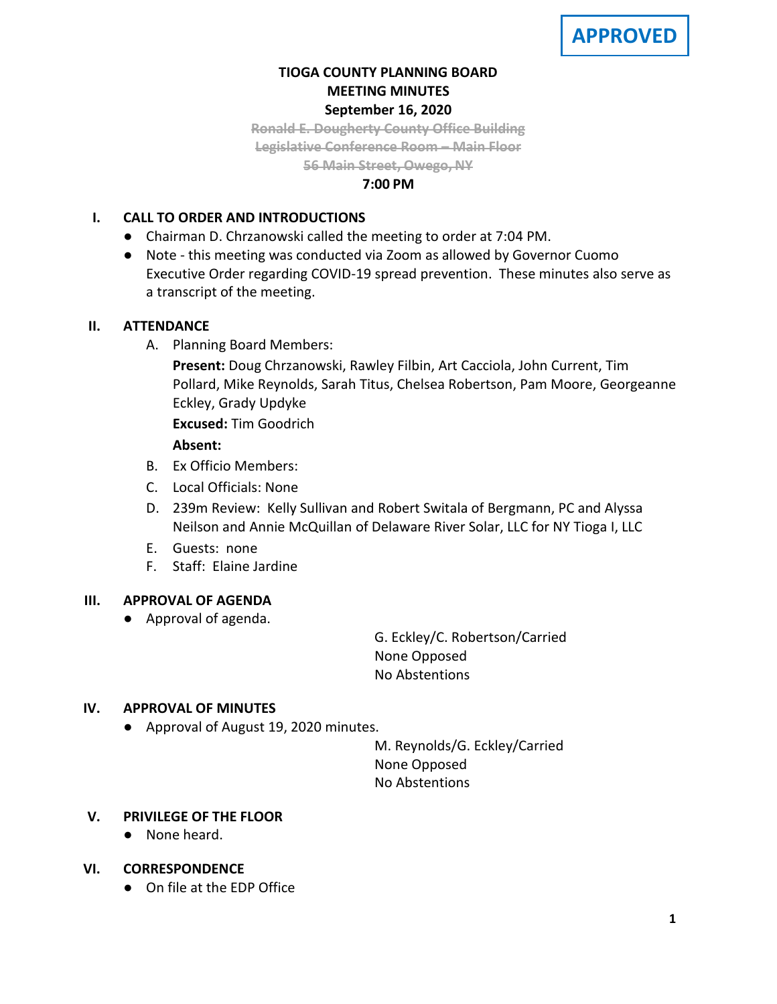# **TIOGA COUNTY PLANNING BOARD MEETING MINUTES September 16, 2020**

**Ronald E. Dougherty County Office Building Legislative Conference Room – Main Floor 56 Main Street, Owego, NY**

#### **7:00 PM**

# **I. CALL TO ORDER AND INTRODUCTIONS**

- Chairman D. Chrzanowski called the meeting to order at 7:04 PM.
- Note this meeting was conducted via Zoom as allowed by Governor Cuomo Executive Order regarding COVID-19 spread prevention. These minutes also serve as a transcript of the meeting.

### **II. ATTENDANCE**

- A. Planning Board Members:
	- **Present:** Doug Chrzanowski, Rawley Filbin, Art Cacciola, John Current, Tim Pollard, Mike Reynolds, Sarah Titus, Chelsea Robertson, Pam Moore, Georgeanne Eckley, Grady Updyke

**Excused:** Tim Goodrich

### **Absent:**

- B. Ex Officio Members:
- C. Local Officials: None
- D. 239m Review: Kelly Sullivan and Robert Switala of Bergmann, PC and Alyssa Neilson and Annie McQuillan of Delaware River Solar, LLC for NY Tioga I, LLC
- E. Guests: none
- F. Staff: Elaine Jardine

### **III. APPROVAL OF AGENDA**

● Approval of agenda.

G. Eckley/C. Robertson/Carried None Opposed No Abstentions

### **IV. APPROVAL OF MINUTES**

● Approval of August 19, 2020 minutes.

M. Reynolds/G. Eckley/Carried None Opposed No Abstentions

### **V. PRIVILEGE OF THE FLOOR**

● None heard.

### **VI. CORRESPONDENCE**

● On file at the EDP Office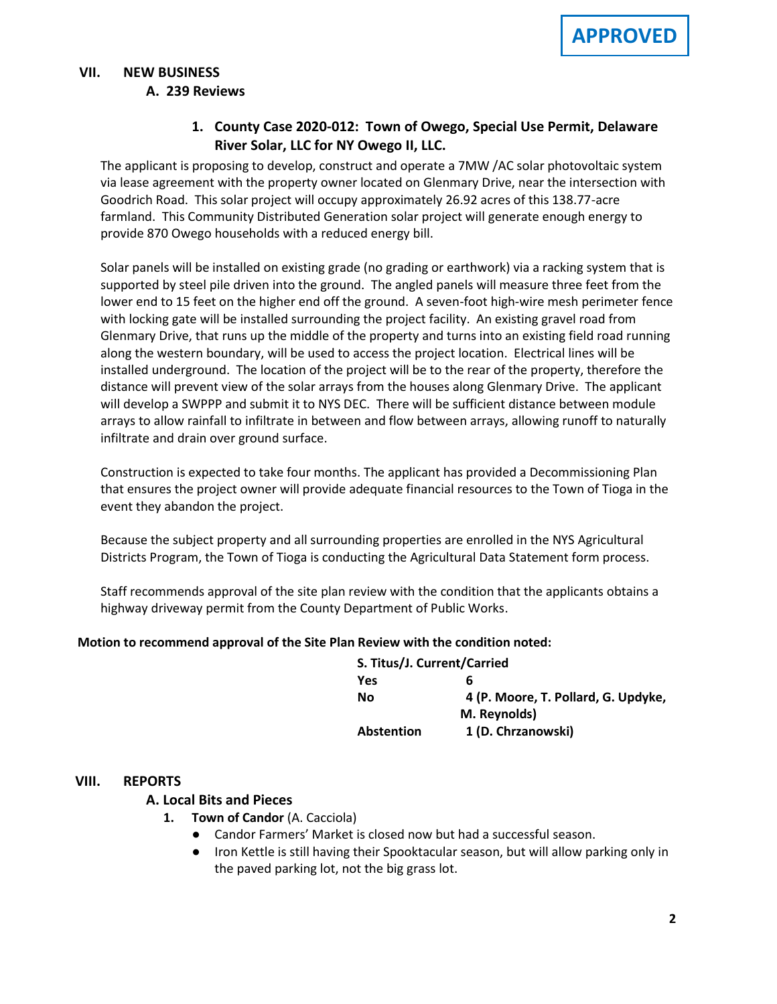#### **VII. NEW BUSINESS A. A. 239 Reviews**

# **1. County Case 2020-012: Town of Owego, Special Use Permit, Delaware River Solar, LLC for NY Owego II, LLC.**

The applicant is proposing to develop, construct and operate a 7MW /AC solar photovoltaic system via lease agreement with the property owner located on Glenmary Drive, near the intersection with Goodrich Road. This solar project will occupy approximately 26.92 acres of this 138.77-acre farmland. This Community Distributed Generation solar project will generate enough energy to provide 870 Owego households with a reduced energy bill.

Solar panels will be installed on existing grade (no grading or earthwork) via a racking system that is supported by steel pile driven into the ground. The angled panels will measure three feet from the lower end to 15 feet on the higher end off the ground. A seven-foot high-wire mesh perimeter fence with locking gate will be installed surrounding the project facility. An existing gravel road from Glenmary Drive, that runs up the middle of the property and turns into an existing field road running along the western boundary, will be used to access the project location. Electrical lines will be installed underground. The location of the project will be to the rear of the property, therefore the distance will prevent view of the solar arrays from the houses along Glenmary Drive. The applicant will develop a SWPPP and submit it to NYS DEC. There will be sufficient distance between module arrays to allow rainfall to infiltrate in between and flow between arrays, allowing runoff to naturally infiltrate and drain over ground surface.

Construction is expected to take four months. The applicant has provided a Decommissioning Plan that ensures the project owner will provide adequate financial resources to the Town of Tioga in the event they abandon the project.

Because the subject property and all surrounding properties are enrolled in the NYS Agricultural Districts Program, the Town of Tioga is conducting the Agricultural Data Statement form process.

Staff recommends approval of the site plan review with the condition that the applicants obtains a highway driveway permit from the County Department of Public Works.

### **Motion to recommend approval of the Site Plan Review with the condition noted:**

| S. Titus/J. Current/Carried |                                     |
|-----------------------------|-------------------------------------|
| Yes                         | b                                   |
| Nο                          | 4 (P. Moore, T. Pollard, G. Updyke, |
|                             | M. Reynolds)                        |
| <b>Abstention</b>           | 1 (D. Chrzanowski)                  |

### **VIII. REPORTS**

### **A. A. Local Bits and Pieces**

- **1. Town of Candor** (A. Cacciola)
	- Candor Farmers' Market is closed now but had a successful season.
	- Iron Kettle is still having their Spooktacular season, but will allow parking only in the paved parking lot, not the big grass lot.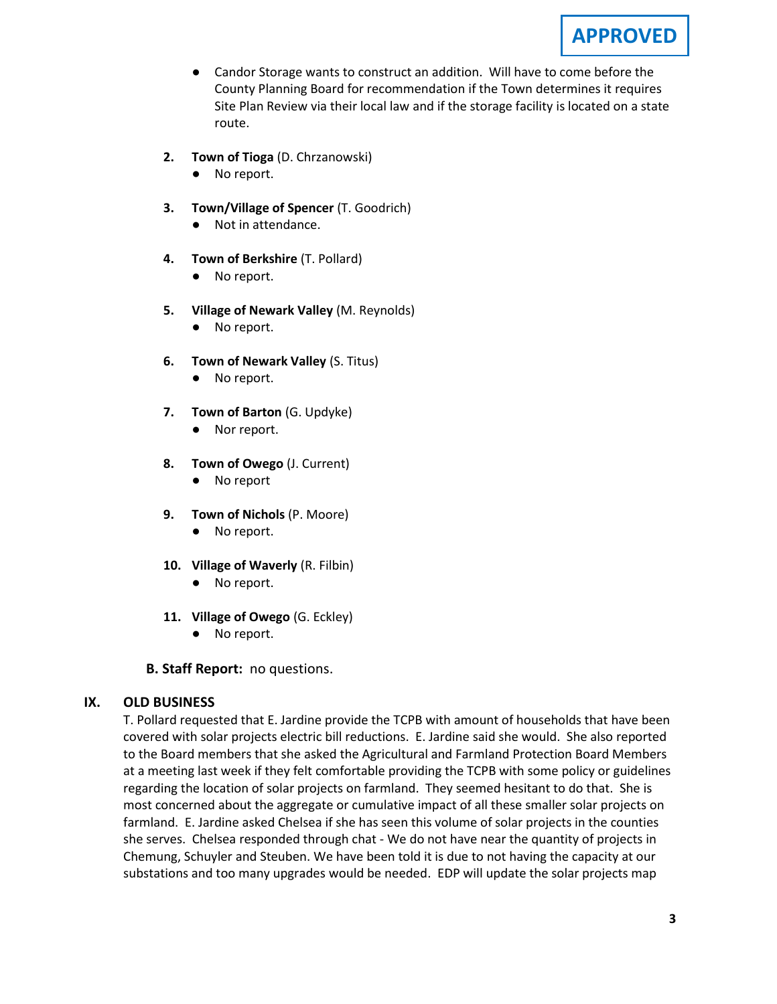

- Candor Storage wants to construct an addition. Will have to come before the County Planning Board for recommendation if the Town determines it requires Site Plan Review via their local law and if the storage facility is located on a state route.
- **2. Town of Tioga** (D. Chrzanowski)
	- No report.
- **3. Town/Village of Spencer** (T. Goodrich)
	- Not in attendance.
- **4. Town of Berkshire** (T. Pollard)
	- No report.
- **5. Village of Newark Valley** (M. Reynolds)
	- No report.
- **6. Town of Newark Valley** (S. Titus)
	- No report.
- **7. Town of Barton** (G. Updyke)
	- Nor report.
- **8. Town of Owego** (J. Current)
	- No report
- **9. Town of Nichols** (P. Moore)
	- No report.
- **10. Village of Waverly** (R. Filbin)
	- No report.
- **11. Village of Owego** (G. Eckley)
	- No report.

**B. Staff Report:** no questions.

#### **IX. OLD BUSINESS**

T. Pollard requested that E. Jardine provide the TCPB with amount of households that have been covered with solar projects electric bill reductions. E. Jardine said she would. She also reported to the Board members that she asked the Agricultural and Farmland Protection Board Members at a meeting last week if they felt comfortable providing the TCPB with some policy or guidelines regarding the location of solar projects on farmland. They seemed hesitant to do that. She is most concerned about the aggregate or cumulative impact of all these smaller solar projects on farmland. E. Jardine asked Chelsea if she has seen this volume of solar projects in the counties she serves. Chelsea responded through chat - We do not have near the quantity of projects in Chemung, Schuyler and Steuben. We have been told it is due to not having the capacity at our substations and too many upgrades would be needed. EDP will update the solar projects map